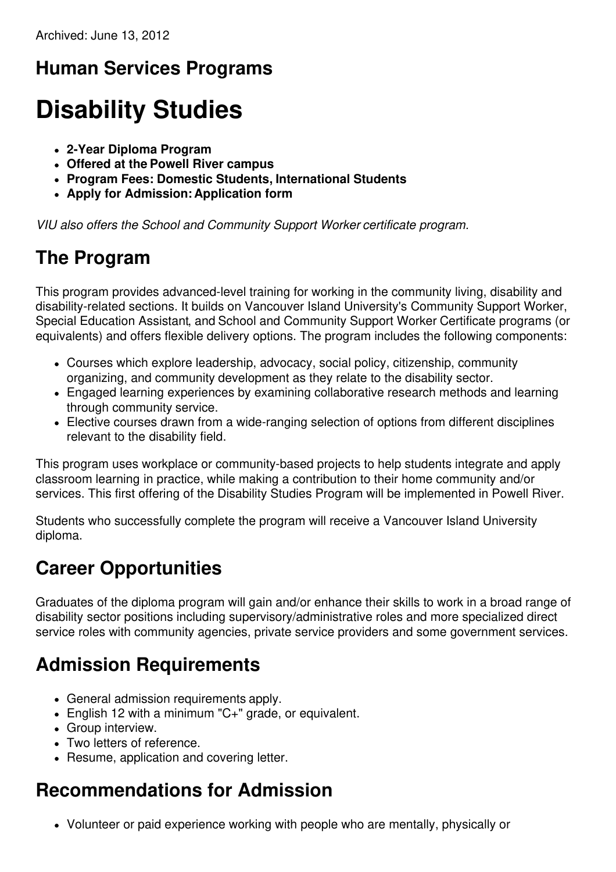# **Human Services Programs**

# **Disability Studies**

- **2-Year Diploma Program**
- **Offered at the Powell River campus**
- **Program Fees: Domestic Students, International Students**
- **Apply for Admission: Application form**

*VIU also offers the School and Community Support Worker certificate program.*

### **The Program**

This program provides advanced-level training for working in the community living, disability and disability-related sections. It builds on Vancouver Island University's Community Support Worker, Special Education Assistant, and School and Community Support Worker Certificate programs (or equivalents) and offers flexible delivery options. The program includes the following components:

- Courses which explore leadership, advocacy, social policy, citizenship, community organizing, and community development as they relate to the disability sector.
- Engaged learning experiences by examining collaborative research methods and learning through community service.
- Elective courses drawn from a wide-ranging selection of options from different disciplines relevant to the disability field.

This program uses workplace or community-based projects to help students integrate and apply classroom learning in practice, while making a contribution to their home community and/or services. This first offering of the Disability Studies Program will be implemented in Powell River.

Students who successfully complete the program will receive a Vancouver Island University diploma.

#### **Career Opportunities**

Graduates of the diploma program will gain and/or enhance their skills to work in a broad range of disability sector positions including supervisory/administrative roles and more specialized direct service roles with community agencies, private service providers and some government services.

# **Admission Requirements**

- General admission requirements apply.
- English 12 with a minimum "C+" grade, or equivalent.
- Group interview.
- Two letters of reference.
- Resume, application and covering letter.

# **Recommendations for Admission**

Volunteer or paid experience working with people who are mentally, physically or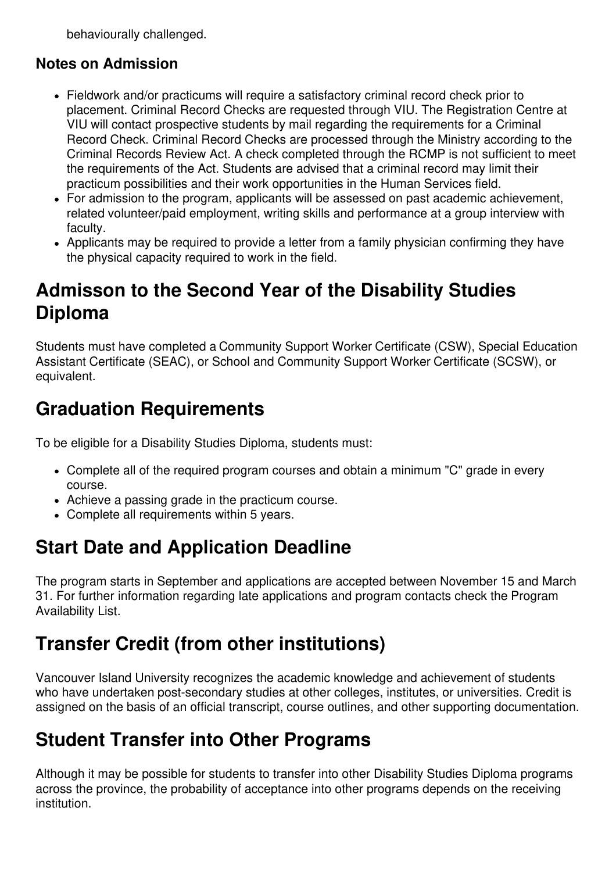behaviourally challenged.

#### **Notes on Admission**

- Fieldwork and/or practicums will require a satisfactory criminal record check prior to placement. Criminal Record Checks are requested through VIU. The Registration Centre at VIU will contact prospective students by mail regarding the requirements for a Criminal Record Check. Criminal Record Checks are processed through the Ministry according to the Criminal Records Review Act. A check completed through the RCMP is not sufficient to meet the requirements of the Act. Students are advised that a criminal record may limit their practicum possibilities and their work opportunities in the Human Services field.
- For admission to the program, applicants will be assessed on past academic achievement, related volunteer/paid employment, writing skills and performance at a group interview with faculty.
- Applicants may be required to provide a letter from a family physician confirming they have the physical capacity required to work in the field.

### **Admisson to the Second Year of the Disability Studies Diploma**

Students must have completed a Community Support Worker Certificate (CSW), Special Education Assistant Certificate (SEAC), or School and Community Support Worker Certificate (SCSW), or equivalent.

### **Graduation Requirements**

To be eligible for a Disability Studies Diploma, students must:

- Complete all of the required program courses and obtain a minimum "C" grade in every course.
- Achieve a passing grade in the practicum course.
- Complete all requirements within 5 years.

# **Start Date and Application Deadline**

The program starts in September and applications are accepted between November 15 and March 31. For further information regarding late applications and program contacts check the Program Availability List.

#### **Transfer Credit (from other institutions)**

Vancouver Island University recognizes the academic knowledge and achievement of students who have undertaken post-secondary studies at other colleges, institutes, or universities. Credit is assigned on the basis of an official transcript, course outlines, and other supporting documentation.

#### **Student Transfer into Other Programs**

Although it may be possible for students to transfer into other Disability Studies Diploma programs across the province, the probability of acceptance into other programs depends on the receiving institution.